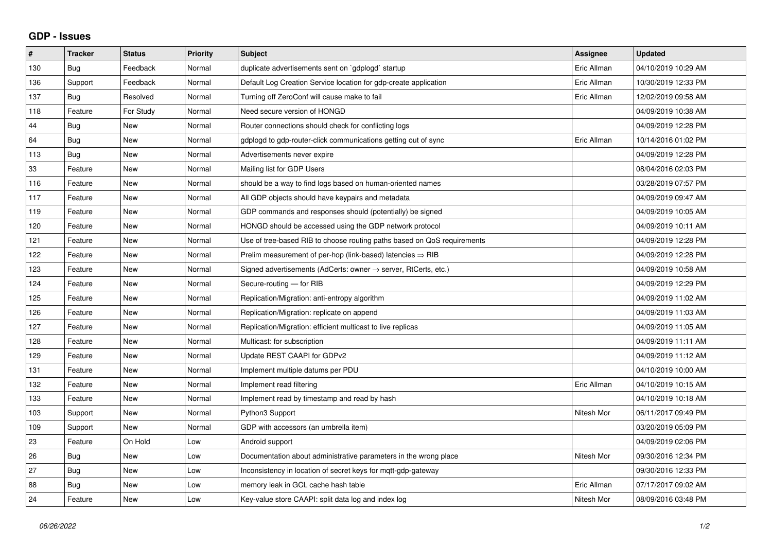## **GDP - Issues**

| #   | <b>Tracker</b> | <b>Status</b> | Priority | <b>Subject</b>                                                          | <b>Assignee</b> | <b>Updated</b>      |
|-----|----------------|---------------|----------|-------------------------------------------------------------------------|-----------------|---------------------|
| 130 | Bug            | Feedback      | Normal   | duplicate advertisements sent on `gdplogd` startup                      | Eric Allman     | 04/10/2019 10:29 AM |
| 136 | Support        | Feedback      | Normal   | Default Log Creation Service location for gdp-create application        | Eric Allman     | 10/30/2019 12:33 PM |
| 137 | <b>Bug</b>     | Resolved      | Normal   | Turning off ZeroConf will cause make to fail                            | Eric Allman     | 12/02/2019 09:58 AM |
| 118 | Feature        | For Study     | Normal   | Need secure version of HONGD                                            |                 | 04/09/2019 10:38 AM |
| 44  | Bug            | New           | Normal   | Router connections should check for conflicting logs                    |                 | 04/09/2019 12:28 PM |
| 64  | Bug            | <b>New</b>    | Normal   | gdplogd to gdp-router-click communications getting out of sync          | Eric Allman     | 10/14/2016 01:02 PM |
| 113 | Bug            | <b>New</b>    | Normal   | Advertisements never expire                                             |                 | 04/09/2019 12:28 PM |
| 33  | Feature        | New           | Normal   | Mailing list for GDP Users                                              |                 | 08/04/2016 02:03 PM |
| 116 | Feature        | <b>New</b>    | Normal   | should be a way to find logs based on human-oriented names              |                 | 03/28/2019 07:57 PM |
| 117 | Feature        | <b>New</b>    | Normal   | All GDP objects should have keypairs and metadata                       |                 | 04/09/2019 09:47 AM |
| 119 | Feature        | New           | Normal   | GDP commands and responses should (potentially) be signed               |                 | 04/09/2019 10:05 AM |
| 120 | Feature        | <b>New</b>    | Normal   | HONGD should be accessed using the GDP network protocol                 |                 | 04/09/2019 10:11 AM |
| 121 | Feature        | <b>New</b>    | Normal   | Use of tree-based RIB to choose routing paths based on QoS requirements |                 | 04/09/2019 12:28 PM |
| 122 | Feature        | <b>New</b>    | Normal   | Prelim measurement of per-hop (link-based) latencies $\Rightarrow$ RIB  |                 | 04/09/2019 12:28 PM |
| 123 | Feature        | New           | Normal   | Signed advertisements (AdCerts: owner → server, RtCerts, etc.)          |                 | 04/09/2019 10:58 AM |
| 124 | Feature        | <b>New</b>    | Normal   | Secure-routing - for RIB                                                |                 | 04/09/2019 12:29 PM |
| 125 | Feature        | <b>New</b>    | Normal   | Replication/Migration: anti-entropy algorithm                           |                 | 04/09/2019 11:02 AM |
| 126 | Feature        | New           | Normal   | Replication/Migration: replicate on append                              |                 | 04/09/2019 11:03 AM |
| 127 | Feature        | <b>New</b>    | Normal   | Replication/Migration: efficient multicast to live replicas             |                 | 04/09/2019 11:05 AM |
| 128 | Feature        | <b>New</b>    | Normal   | Multicast: for subscription                                             |                 | 04/09/2019 11:11 AM |
| 129 | Feature        | New           | Normal   | Update REST CAAPI for GDPv2                                             |                 | 04/09/2019 11:12 AM |
| 131 | Feature        | <b>New</b>    | Normal   | Implement multiple datums per PDU                                       |                 | 04/10/2019 10:00 AM |
| 132 | Feature        | <b>New</b>    | Normal   | Implement read filtering                                                | Eric Allman     | 04/10/2019 10:15 AM |
| 133 | Feature        | New           | Normal   | Implement read by timestamp and read by hash                            |                 | 04/10/2019 10:18 AM |
| 103 | Support        | <b>New</b>    | Normal   | Python3 Support                                                         | Nitesh Mor      | 06/11/2017 09:49 PM |
| 109 | Support        | New           | Normal   | GDP with accessors (an umbrella item)                                   |                 | 03/20/2019 05:09 PM |
| 23  | Feature        | On Hold       | Low      | Android support                                                         |                 | 04/09/2019 02:06 PM |
| 26  | Bug            | New           | Low      | Documentation about administrative parameters in the wrong place        | Nitesh Mor      | 09/30/2016 12:34 PM |
| 27  | Bug            | New           | Low      | Inconsistency in location of secret keys for mqtt-gdp-gateway           |                 | 09/30/2016 12:33 PM |
| 88  | <b>Bug</b>     | New           | Low      | memory leak in GCL cache hash table                                     | Eric Allman     | 07/17/2017 09:02 AM |
| 24  | Feature        | New           | Low      | Key-value store CAAPI: split data log and index log                     | Nitesh Mor      | 08/09/2016 03:48 PM |